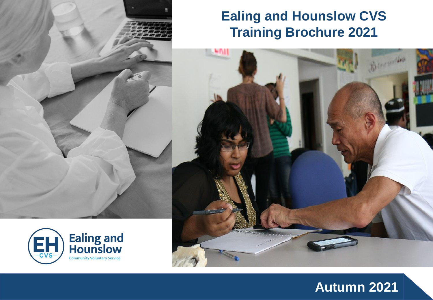## **Ealing and Hounslow CVS Training Brochure 2021**





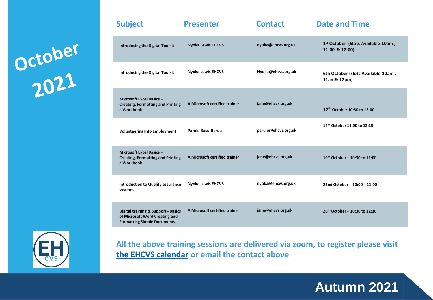October<br>2021



| Junject                                                                                                                | 17111771                      | <b>UIILULL</b>      | PULL UIIU TIIIL                                                  |
|------------------------------------------------------------------------------------------------------------------------|-------------------------------|---------------------|------------------------------------------------------------------|
| <b>Introducing the Digital Toolkit</b>                                                                                 | <b>Nyoka Lewis EHCVS</b>      | nyoka@ehcvs.org.uk  | 1 <sup>st</sup> October (Slots Available 10am,<br>11:00 & 12:00) |
| <b>Introducing the Digital Toolkit</b>                                                                                 | <b>Nyoka Lewis EHCVS</b>      | Nyoka@ehcvs.org.uk  | 6th October (slots Available 10am,<br>11am& 12pm)                |
| Microsoft Excel Basics -<br><b>Creating, Formatting and Printing</b><br>a Workbook                                     | A Microsoft certified trainer | jane@ehcvs.org.uk   | 12 <sup>th</sup> October 10:30 to 12:00                          |
| <b>Volunteering Into Employment</b>                                                                                    | Parule Basu-Barua             | parule@ehcvs.org.uk | 14th October 11:00 to 12:15                                      |
| Microsoft Excel Basics -<br><b>Creating, Formatting and Printing</b><br>a Workbook                                     | A Microsoft certified trainer | jane@ehcvs.org.uk   | 19th October - 10:30 to 12:00                                    |
| <b>Introduction to Quality assurance</b><br>systems                                                                    | <b>Nyoka Lewis EHCVS</b>      | nyoka@ehcvs.org.uk  | 22nd October - 10:00 - 11:00                                     |
| <b>Digital training &amp; Support - Basics</b><br>of Microsoft Word Creating and<br><b>Formatting Simple Documents</b> | A Microsoft certified trainer | jane@ehcvs.org.uk   | 26th October - 10:30 to 12:30                                    |

**Subject Presenter Contact Date and Time** 

**All the above training sessions are delivered via zoom, to register please visit [the EHCVS calendar](https://ehcvs.org.uk/calendar/) or email the contact above**

## **Autumn 2021**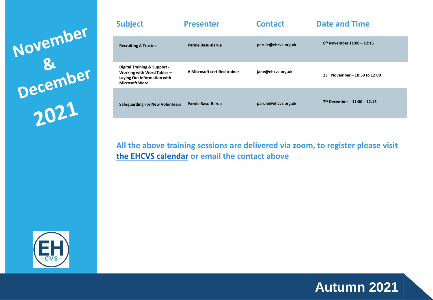November<br>December<br>2021

| <b>Subject</b>                                                                                                               | <b>Presenter</b>              | <b>Contact</b>      | <b>Date and Time</b>                     |
|------------------------------------------------------------------------------------------------------------------------------|-------------------------------|---------------------|------------------------------------------|
| <b>Recruiting A Trustee</b>                                                                                                  | Parule Basu-Barua             | parule@ehcvs.org.uk | $6^{th}$ November 11:00 - 12:15          |
| <b>Digital Training &amp; Support-</b><br>Working with Word Tables -<br>Laying Out Information with<br><b>Microsoft Word</b> | A Microsoft certified trainer | jane@ehcvs.org.uk   | 23rd November - 10:30 to 12:00           |
| <b>Safeguarding For New Volunteers</b>                                                                                       | Parule Basu-Barua             | parule@ehcvs.org.uk | 7 <sup>th</sup> December - 11:00 - 12.15 |

**All the above training sessions are delivered via zoom, to register please visit [the EHCVS calendar](https://ehcvs.org.uk/calendar/) or email the contact above**